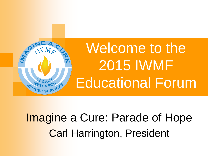

#### Imagine a Cure: Parade of Hope Carl Harrington, President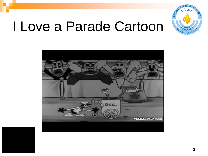

### I Love a Parade Cartoon

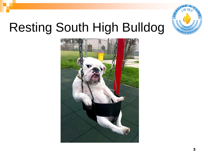

#### Resting South High Bulldog

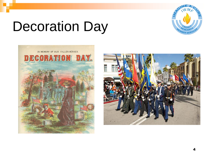

### Decoration Day



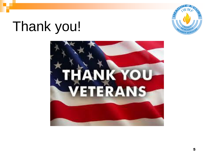

#### Thank you!

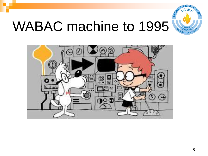

### **WABAC machine to 1995**

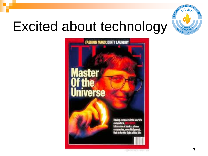

### Excited about technology

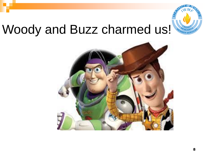

#### Woody and Buzz charmed us!

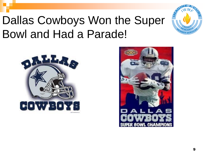

#### Dallas Cowboys Won the Super Bowl and Had a Parade!



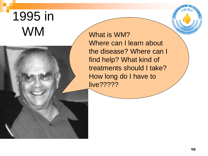#### 1995 in What is WM?



Where can I learn about the disease? Where can I find help? What kind of treatments should I take? How long do I have to live?????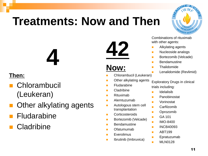#### **Treatments: Now and Then**



Combinations of rituximab with other agents:

- **Alkylating agents**
- **Nucleoside analogs**
- **Bortezomib (Velcade)**
- **Bendamustine**
- **Thalidomide**
- **Lenalidomide (Revlimid)**

Exploratory Drugs in clinical trials including:

- **Idelalisib**
- **Panobinostat**
- **Norinostat**
- **Carfilzomib**
- **Delaction** Deprozomib
- $G_A$  101
- $IMO-8400$
- **INCB40093**
- $ABT199$
- **Epratuzumab**
- **MLN0128**

#### **Then:**

- **Chlorambucil** (Leukeran)
- Other alkylating agents

**4**

- Fludarabine
- **Cladribine**

**42**

#### **Now:**

- **Chlorambucil (Leukeran)**
- **Duries** Other alkylating agents
- **Fludarabine**
- **Cladribine**
- **Rituximab**
- **Alemtuzumab**
- **Autologous stem cell** transplantation
- **Corticosteroids**
- **Bortezomib (Velcade)**
- **Bendamustine**
- **D** Ofatumumab
- **Everolimus**
- **ID** Ibrutinib (Imbruvica)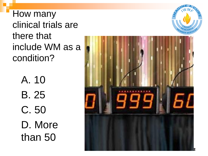How many clinical trials are there that include WM as a condition?

> A. 10 B. 25 C. 50 D. More than 50



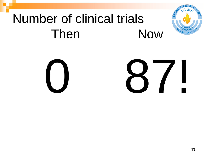#### Number of clinical trials Then **Now**

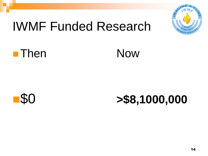

#### IWMF Funded Research





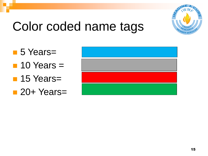

#### Color coded name tags

- 5 Years=  $\blacksquare$  10 Years  $=$ **15 Years**=
- 20+ Years=
-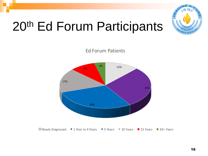

#### 20th Ed Forum Participants



Ed Forum Patients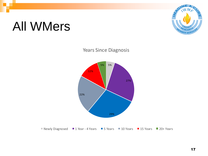#### All WMers





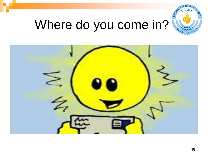

#### Where do you come in?

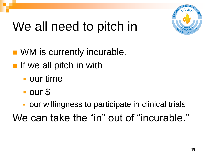

### We all need to pitch in

- **NM** is currently incurable.
- $\blacksquare$  If we all pitch in with
	- **our time**
	- our \$
	- **our willingness to participate in clinical trials**

We can take the "in" out of "incurable."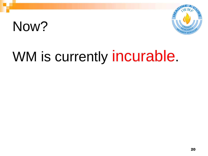### Now?



## WM is currently incurable.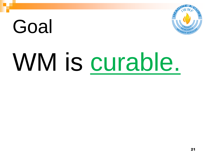# Goal

# WM is curable.